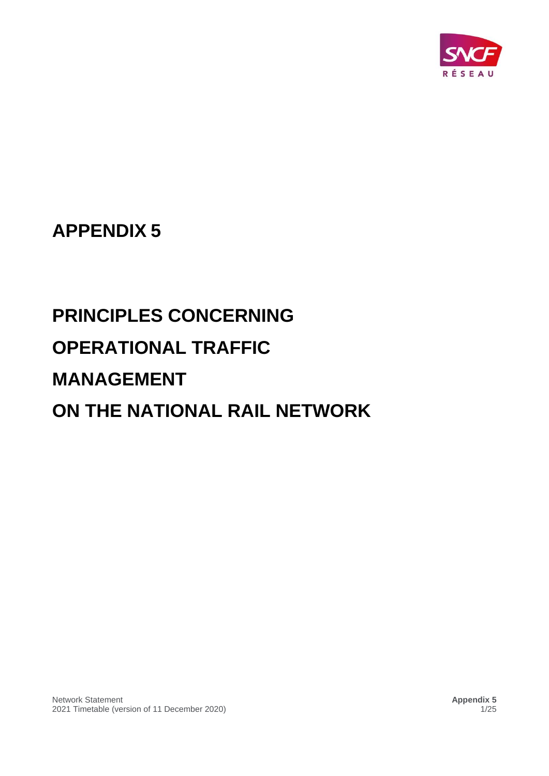

## **APPENDIX 5**

# **PRINCIPLES CONCERNING OPERATIONAL TRAFFIC MANAGEMENT ON THE NATIONAL RAIL NETWORK**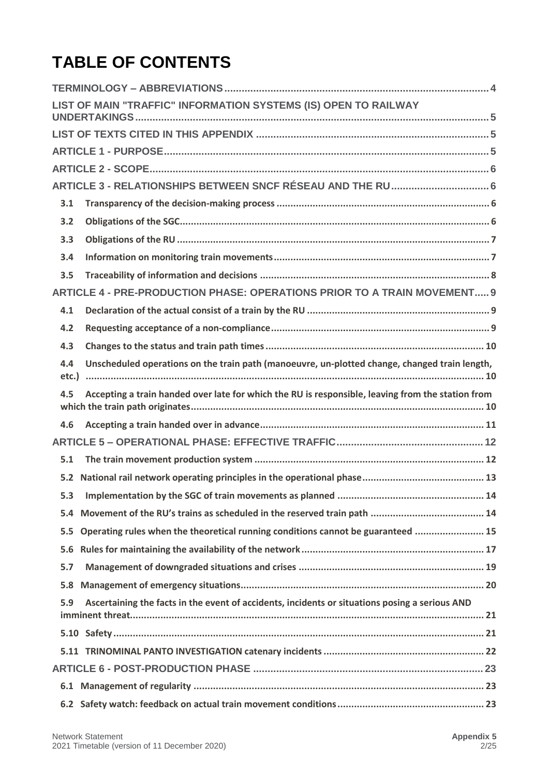## **TABLE OF CONTENTS**

|       | LIST OF MAIN "TRAFFIC" INFORMATION SYSTEMS (IS) OPEN TO RAILWAY                                   |
|-------|---------------------------------------------------------------------------------------------------|
|       |                                                                                                   |
|       |                                                                                                   |
|       |                                                                                                   |
|       | ARTICLE 3 - RELATIONSHIPS BETWEEN SNCF RÉSEAU AND THE RU  6                                       |
| 3.1   |                                                                                                   |
| 3.2   |                                                                                                   |
| 3.3   |                                                                                                   |
| 3.4   |                                                                                                   |
| 3.5   |                                                                                                   |
|       | ARTICLE 4 - PRE-PRODUCTION PHASE: OPERATIONS PRIOR TO A TRAIN MOVEMENT 9                          |
| 4.1   |                                                                                                   |
| 4.2   |                                                                                                   |
| 4.3   |                                                                                                   |
| 4.4   | Unscheduled operations on the train path (manoeuvre, un-plotted change, changed train length,     |
| etc.) |                                                                                                   |
| 4.5   | Accepting a train handed over late for which the RU is responsible, leaving from the station from |
| 4.6   |                                                                                                   |
|       |                                                                                                   |
| 5.1   |                                                                                                   |
|       |                                                                                                   |
|       |                                                                                                   |
| 5.4   |                                                                                                   |
| 5.5   | Operating rules when the theoretical running conditions cannot be guaranteed  15                  |
| 5.6   |                                                                                                   |
| 5.7   |                                                                                                   |
|       |                                                                                                   |
| 5.9   | Ascertaining the facts in the event of accidents, incidents or situations posing a serious AND    |
|       |                                                                                                   |
|       |                                                                                                   |
|       |                                                                                                   |
|       |                                                                                                   |
|       |                                                                                                   |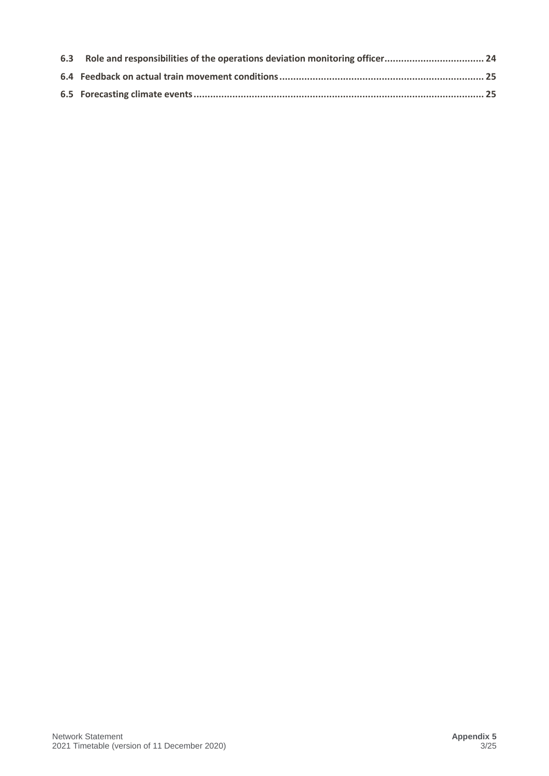| 6.3 Role and responsibilities of the operations deviation monitoring officer 24 |  |
|---------------------------------------------------------------------------------|--|
|                                                                                 |  |
|                                                                                 |  |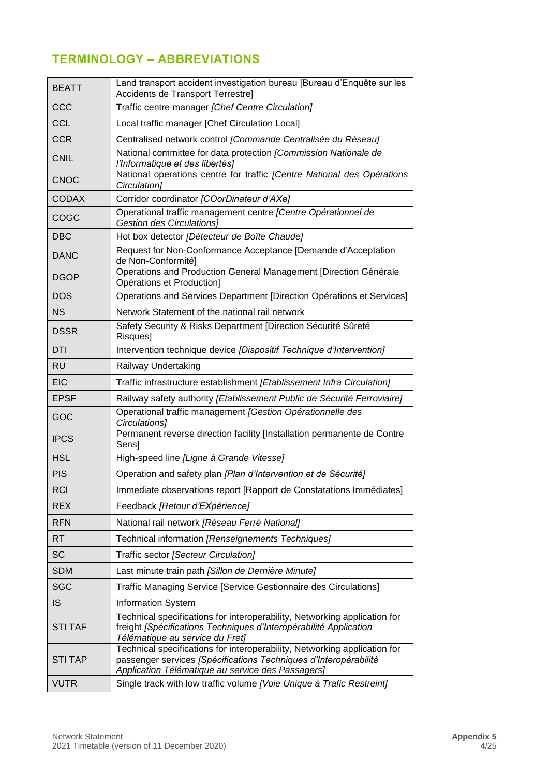## <span id="page-3-0"></span>**TERMINOLOGY – ABBREVIATIONS**

| <b>BEATT</b>   | Land transport accident investigation bureau [Bureau d'Enquête sur les<br>Accidents de Transport Terrestre]                                                                                        |
|----------------|----------------------------------------------------------------------------------------------------------------------------------------------------------------------------------------------------|
| CCC            | Traffic centre manager [Chef Centre Circulation]                                                                                                                                                   |
| <b>CCL</b>     | Local traffic manager [Chef Circulation Local]                                                                                                                                                     |
| <b>CCR</b>     | Centralised network control [Commande Centralisée du Réseau]                                                                                                                                       |
| <b>CNIL</b>    | National committee for data protection [Commission Nationale de                                                                                                                                    |
|                | l'Informatique et des libertés]<br>National operations centre for traffic [Centre National des Opérations                                                                                          |
| <b>CNOC</b>    | Circulation]                                                                                                                                                                                       |
| <b>CODAX</b>   | Corridor coordinator [COorDinateur d'AXe]                                                                                                                                                          |
| COGC           | Operational traffic management centre [Centre Opérationnel de<br><b>Gestion des Circulations]</b>                                                                                                  |
| <b>DBC</b>     | Hot box detector [Détecteur de Boîte Chaude]                                                                                                                                                       |
| <b>DANC</b>    | Request for Non-Conformance Acceptance [Demande d'Acceptation<br>de Non-Conformitél                                                                                                                |
| <b>DGOP</b>    | Operations and Production General Management [Direction Générale<br>Opérations et Production]                                                                                                      |
| <b>DOS</b>     | Operations and Services Department [Direction Opérations et Services]                                                                                                                              |
| <b>NS</b>      | Network Statement of the national rail network                                                                                                                                                     |
| <b>DSSR</b>    | Safety Security & Risks Department [Direction Sécurité Sûreté<br>Risques]                                                                                                                          |
| DTI            | Intervention technique device [Dispositif Technique d'Intervention]                                                                                                                                |
| <b>RU</b>      | Railway Undertaking                                                                                                                                                                                |
| <b>EIC</b>     | Traffic infrastructure establishment [Etablissement Infra Circulation]                                                                                                                             |
| <b>EPSF</b>    | Railway safety authority [Etablissement Public de Sécurité Ferroviaire]                                                                                                                            |
| GOC            | Operational traffic management [Gestion Opérationnelle des<br>Circulations]                                                                                                                        |
| <b>IPCS</b>    | Permanent reverse direction facility [Installation permanente de Contre<br>Sens]                                                                                                                   |
| <b>HSL</b>     | High-speed line [Ligne à Grande Vitesse]                                                                                                                                                           |
| <b>PIS</b>     | Operation and safety plan [Plan d'Intervention et de Sécurité]                                                                                                                                     |
| <b>RCI</b>     | Immediate observations report [Rapport de Constatations Immédiates]                                                                                                                                |
| <b>REX</b>     | Feedback [Retour d'EXpérience]                                                                                                                                                                     |
| <b>RFN</b>     | National rail network [Réseau Ferré National]                                                                                                                                                      |
| <b>RT</b>      | Technical information [Renseignements Techniques]                                                                                                                                                  |
| <b>SC</b>      | Traffic sector [Secteur Circulation]                                                                                                                                                               |
| <b>SDM</b>     | Last minute train path [Sillon de Dernière Minute]                                                                                                                                                 |
| <b>SGC</b>     | Traffic Managing Service [Service Gestionnaire des Circulations]                                                                                                                                   |
| <b>IS</b>      | <b>Information System</b>                                                                                                                                                                          |
| <b>STI TAF</b> | Technical specifications for interoperability, Networking application for<br>freight [Spécifications Techniques d'Interopérabilité Application<br>Télématique au service du Fret]                  |
| <b>STI TAP</b> | Technical specifications for interoperability, Networking application for<br>passenger services [Spécifications Techniques d'Interopérabilité<br>Application Télématique au service des Passagers] |
| <b>VUTR</b>    | Single track with low traffic volume [Voie Unique à Trafic Restreint]                                                                                                                              |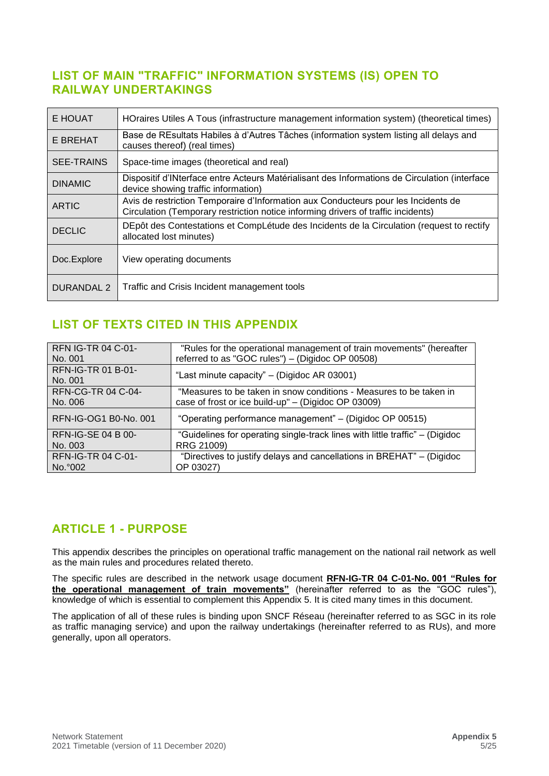### <span id="page-4-0"></span>**LIST OF MAIN "TRAFFIC" INFORMATION SYSTEMS (IS) OPEN TO RAILWAY UNDERTAKINGS**

| E HOUAT           | HOraires Utiles A Tous (infrastructure management information system) (theoretical times)                                                                               |
|-------------------|-------------------------------------------------------------------------------------------------------------------------------------------------------------------------|
| E BREHAT          | Base de REsultats Habiles à d'Autres Tâches (information system listing all delays and<br>causes thereof) (real times)                                                  |
| <b>SEE-TRAINS</b> | Space-time images (theoretical and real)                                                                                                                                |
| <b>DINAMIC</b>    | Dispositif d'INterface entre Acteurs Matérialisant des Informations de Circulation (interface<br>device showing traffic information)                                    |
| <b>ARTIC</b>      | Avis de restriction Temporaire d'Information aux Conducteurs pour les Incidents de<br>Circulation (Temporary restriction notice informing drivers of traffic incidents) |
| <b>DECLIC</b>     | DEpôt des Contestations et CompLétude des Incidents de la Circulation (request to rectify<br>allocated lost minutes)                                                    |
| Doc.Explore       | View operating documents                                                                                                                                                |
| DURANDAL 2        | Traffic and Crisis Incident management tools                                                                                                                            |

## <span id="page-4-1"></span>**LIST OF TEXTS CITED IN THIS APPENDIX**

| <b>RFN IG-TR 04 C-01-</b>            | "Rules for the operational management of train movements" (hereafter         |
|--------------------------------------|------------------------------------------------------------------------------|
| No. 001                              | referred to as "GOC rules") - (Digidoc OP 00508)                             |
| <b>RFN-IG-TR 01 B-01-</b><br>No. 001 | "Last minute capacity" – (Digidoc AR 03001)                                  |
| <b>RFN-CG-TR 04 C-04-</b>            | "Measures to be taken in snow conditions - Measures to be taken in           |
| No. 006                              | case of frost or ice build-up" – (Digidoc OP 03009)                          |
| RFN-IG-OG1 B0-No. 001                | "Operating performance management" - (Digidoc OP 00515)                      |
| <b>RFN-IG-SE 04 B 00-</b>            | "Guidelines for operating single-track lines with little traffic" – (Digidoc |
| No. 003                              | RRG 21009)                                                                   |
| RFN-IG-TR 04 C-01-                   | "Directives to justify delays and cancellations in BREHAT" – (Digidoc        |
| No. 002                              | OP 03027)                                                                    |

## <span id="page-4-2"></span>**ARTICLE 1 - PURPOSE**

This appendix describes the principles on operational traffic management on the national rail network as well as the main rules and procedures related thereto.

The specific rules are described in the network usage document **RFN-IG-TR 04 C-01-No. 001 "Rules for the operational management of train movements"** (hereinafter referred to as the "GOC rules"), knowledge of which is essential to complement this Appendix 5. It is cited many times in this document.

The application of all of these rules is binding upon SNCF Réseau (hereinafter referred to as SGC in its role as traffic managing service) and upon the railway undertakings (hereinafter referred to as RUs), and more generally, upon all operators.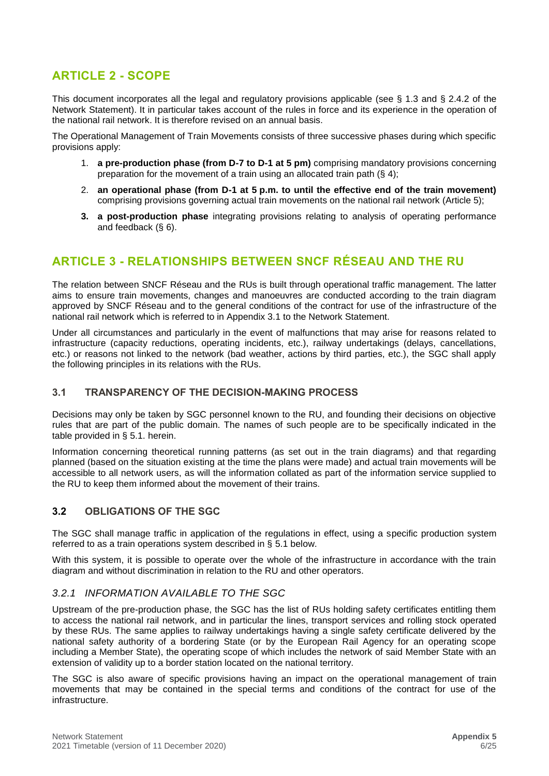## <span id="page-5-0"></span>**ARTICLE 2 - SCOPE**

This document incorporates all the legal and regulatory provisions applicable (see § 1.3 and § 2.4.2 of the Network Statement). It in particular takes account of the rules in force and its experience in the operation of the national rail network. It is therefore revised on an annual basis.

The Operational Management of Train Movements consists of three successive phases during which specific provisions apply:

- 1. **a pre-production phase (from D-7 to D-1 at 5 pm)** comprising mandatory provisions concerning preparation for the movement of a train using an allocated train path (§ 4);
- 2. **an operational phase (from D-1 at 5 p.m. to until the effective end of the train movement)**  comprising provisions governing actual train movements on the national rail network (Article 5);
- **3. a post-production phase** integrating provisions relating to analysis of operating performance and feedback (§ 6).

## <span id="page-5-1"></span>**ARTICLE 3 - RELATIONSHIPS BETWEEN SNCF RÉSEAU AND THE RU**

The relation between SNCF Réseau and the RUs is built through operational traffic management. The latter aims to ensure train movements, changes and manoeuvres are conducted according to the train diagram approved by SNCF Réseau and to the general conditions of the contract for use of the infrastructure of the national rail network which is referred to in Appendix 3.1 to the Network Statement.

Under all circumstances and particularly in the event of malfunctions that may arise for reasons related to infrastructure (capacity reductions, operating incidents, etc.), railway undertakings (delays, cancellations, etc.) or reasons not linked to the network (bad weather, actions by third parties, etc.), the SGC shall apply the following principles in its relations with the RUs.

#### <span id="page-5-2"></span>**3.1 TRANSPARENCY OF THE DECISION-MAKING PROCESS**

Decisions may only be taken by SGC personnel known to the RU, and founding their decisions on objective rules that are part of the public domain. The names of such people are to be specifically indicated in the table provided in § 5.1. herein.

Information concerning theoretical running patterns (as set out in the train diagrams) and that regarding planned (based on the situation existing at the time the plans were made) and actual train movements will be accessible to all network users, as will the information collated as part of the information service supplied to the RU to keep them informed about the movement of their trains.

#### <span id="page-5-3"></span>**3.2 OBLIGATIONS OF THE SGC**

The SGC shall manage traffic in application of the regulations in effect, using a specific production system referred to as a train operations system described in § 5.1 below.

With this system, it is possible to operate over the whole of the infrastructure in accordance with the train diagram and without discrimination in relation to the RU and other operators.

#### *3.2.1 INFORMATION AVAILABLE TO THE SGC*

Upstream of the pre-production phase, the SGC has the list of RUs holding safety certificates entitling them to access the national rail network, and in particular the lines, transport services and rolling stock operated by these RUs. The same applies to railway undertakings having a single safety certificate delivered by the national safety authority of a bordering State (or by the European Rail Agency for an operating scope including a Member State), the operating scope of which includes the network of said Member State with an extension of validity up to a border station located on the national territory.

The SGC is also aware of specific provisions having an impact on the operational management of train movements that may be contained in the special terms and conditions of the contract for use of the infrastructure.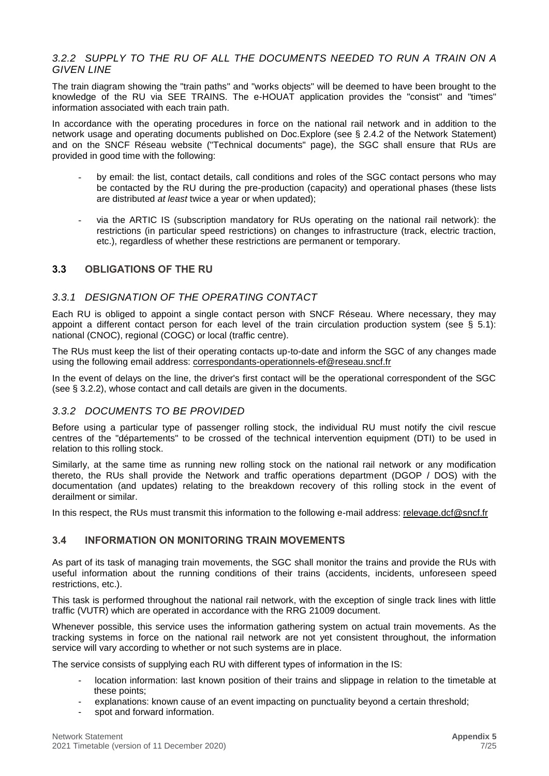#### *3.2.2 SUPPLY TO THE RU OF ALL THE DOCUMENTS NEEDED TO RUN A TRAIN ON A GIVEN LINE*

The train diagram showing the "train paths" and "works objects" will be deemed to have been brought to the knowledge of the RU via SEE TRAINS. The e-HOUAT application provides the "consist" and "times" information associated with each train path.

In accordance with the operating procedures in force on the national rail network and in addition to the network usage and operating documents published on Doc.Explore (see § 2.4.2 of the Network Statement) and on the SNCF Réseau website ("Technical documents" page), the SGC shall ensure that RUs are provided in good time with the following:

- by email: the list, contact details, call conditions and roles of the SGC contact persons who may be contacted by the RU during the pre-production (capacity) and operational phases (these lists are distributed *at least* twice a year or when updated);
- via the ARTIC IS (subscription mandatory for RUs operating on the national rail network): the restrictions (in particular speed restrictions) on changes to infrastructure (track, electric traction, etc.), regardless of whether these restrictions are permanent or temporary.

#### <span id="page-6-0"></span>**3.3 OBLIGATIONS OF THE RU**

#### *3.3.1 DESIGNATION OF THE OPERATING CONTACT*

Each RU is obliged to appoint a single contact person with SNCF Réseau. Where necessary, they may appoint a different contact person for each level of the train circulation production system (see § 5.1): national (CNOC), regional (COGC) or local (traffic centre).

The RUs must keep the list of their operating contacts up-to-date and inform the SGC of any changes made using the following email address: [correspondants-operationnels-ef@reseau.sncf.fr](mailto:correspondants-operationnels-ef@reseau.sncf.fr)

In the event of delays on the line, the driver's first contact will be the operational correspondent of the SGC (see § 3.2.2), whose contact and call details are given in the documents.

#### *3.3.2 DOCUMENTS TO BE PROVIDED*

Before using a particular type of passenger rolling stock, the individual RU must notify the civil rescue centres of the "départements" to be crossed of the technical intervention equipment (DTI) to be used in relation to this rolling stock.

Similarly, at the same time as running new rolling stock on the national rail network or any modification thereto, the RUs shall provide the Network and traffic operations department (DGOP / DOS) with the documentation (and updates) relating to the breakdown recovery of this rolling stock in the event of derailment or similar.

In this respect, the RUs must transmit this information to the following e-mail address: [relevage.dcf@sncf.fr](https://reseaudoc.reseau.sncf.fr/livelinkdav/nodes/AppData/Local/Microsoft/Windows/Temporary%20Internet%20Files/Content.Outlook/AppData/Local/Microsoft/Windows/Temporary%20Internet%20Files/Content.Outlook/AppData/Local/Microsoft/Windows/Temporary%20Internet%20Files/Content.Outlook/AppData/Local/Microsoft/Windows/Temporary%20Internet%20Files/Content.Outlook/AppData/Local/Microsoft/Windows/Temporary%20Internet%20Files/Content.Outlook/AppData/Local/Microsoft/Windows/Temporary%20Internet%20Files/Content.Outlook/AppData/Local/Microsoft/Users/8010541K/AppData/Local/Microsoft/Users/8010541K/AppData/Local/Microsoft/Windows/INetCache/Content.Outlook/AppData/Local/7909370s/AppData/Local/7909370s/AppData/Local/Temp/AppData/Local/Microsoft/Windows/INetCache/Content.Outlook/AppData/Local/Microsoft/Windows/Temporary%20Internet%20Files/7909370s/AppData/Local/Microsoft/Windows/Temporary%20Internet%20Files/7909370s/AppData/Local/8010541K/AppData/Local/Microsoft/Windows/Temporary%20Internet%20Files/Content.Outlook/AppData/Local/Microsoft/Windows/Temporary%20Internet%20Files/8010541K/AppData/Local/Microsoft/Windows/Temporary%20Internet%20Files/Content.Outlook/AppData/Local/Microsoft/Windows/Temporary%20Internet%20Files/Content.Outlook/44FTAU62/relevage.dcf@sncf.fr)

#### <span id="page-6-1"></span>**3.4 INFORMATION ON MONITORING TRAIN MOVEMENTS**

As part of its task of managing train movements, the SGC shall monitor the trains and provide the RUs with useful information about the running conditions of their trains (accidents, incidents, unforeseen speed restrictions, etc.).

This task is performed throughout the national rail network, with the exception of single track lines with little traffic (VUTR) which are operated in accordance with the RRG 21009 document.

Whenever possible, this service uses the information gathering system on actual train movements. As the tracking systems in force on the national rail network are not yet consistent throughout, the information service will vary according to whether or not such systems are in place.

The service consists of supplying each RU with different types of information in the IS:

- location information: last known position of their trains and slippage in relation to the timetable at these points;
- explanations: known cause of an event impacting on punctuality beyond a certain threshold;
- spot and forward information.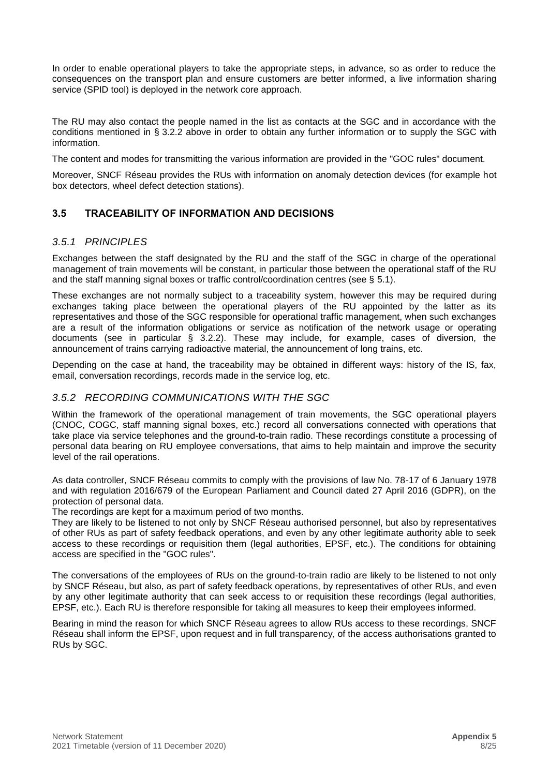In order to enable operational players to take the appropriate steps, in advance, so as order to reduce the consequences on the transport plan and ensure customers are better informed, a live information sharing service (SPID tool) is deployed in the network core approach.

The RU may also contact the people named in the list as contacts at the SGC and in accordance with the conditions mentioned in § 3.2.2 above in order to obtain any further information or to supply the SGC with information.

The content and modes for transmitting the various information are provided in the "GOC rules" document.

Moreover, SNCF Réseau provides the RUs with information on anomaly detection devices (for example hot box detectors, wheel defect detection stations).

#### <span id="page-7-0"></span>**3.5 TRACEABILITY OF INFORMATION AND DECISIONS**

#### *3.5.1 PRINCIPLES*

Exchanges between the staff designated by the RU and the staff of the SGC in charge of the operational management of train movements will be constant, in particular those between the operational staff of the RU and the staff manning signal boxes or traffic control/coordination centres (see  $\S$  5.1).

These exchanges are not normally subject to a traceability system, however this may be required during exchanges taking place between the operational players of the RU appointed by the latter as its representatives and those of the SGC responsible for operational traffic management, when such exchanges are a result of the information obligations or service as notification of the network usage or operating documents (see in particular § 3.2.2). These may include, for example, cases of diversion, the announcement of trains carrying radioactive material, the announcement of long trains, etc.

Depending on the case at hand, the traceability may be obtained in different ways: history of the IS, fax, email, conversation recordings, records made in the service log, etc.

#### *3.5.2 RECORDING COMMUNICATIONS WITH THE SGC*

Within the framework of the operational management of train movements, the SGC operational players (CNOC, COGC, staff manning signal boxes, etc.) record all conversations connected with operations that take place via service telephones and the ground-to-train radio. These recordings constitute a processing of personal data bearing on RU employee conversations, that aims to help maintain and improve the security level of the rail operations.

As data controller, SNCF Réseau commits to comply with the provisions of law No. 78-17 of 6 January 1978 and with regulation 2016/679 of the European Parliament and Council dated 27 April 2016 (GDPR), on the protection of personal data.

The recordings are kept for a maximum period of two months.

They are likely to be listened to not only by SNCF Réseau authorised personnel, but also by representatives of other RUs as part of safety feedback operations, and even by any other legitimate authority able to seek access to these recordings or requisition them (legal authorities, EPSF, etc.). The conditions for obtaining access are specified in the "GOC rules".

The conversations of the employees of RUs on the ground-to-train radio are likely to be listened to not only by SNCF Réseau, but also, as part of safety feedback operations, by representatives of other RUs, and even by any other legitimate authority that can seek access to or requisition these recordings (legal authorities, EPSF, etc.). Each RU is therefore responsible for taking all measures to keep their employees informed.

Bearing in mind the reason for which SNCF Réseau agrees to allow RUs access to these recordings, SNCF Réseau shall inform the EPSF, upon request and in full transparency, of the access authorisations granted to RUs by SGC.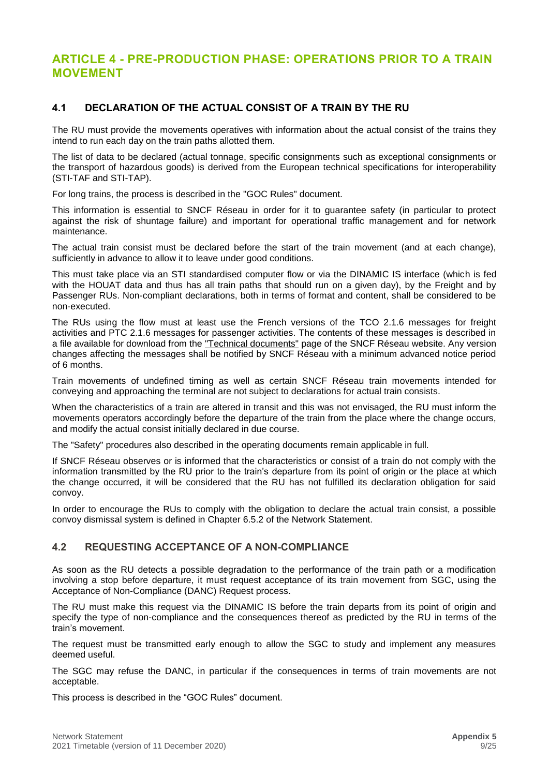### <span id="page-8-0"></span>**ARTICLE 4 - PRE-PRODUCTION PHASE: OPERATIONS PRIOR TO A TRAIN MOVEMENT**

#### <span id="page-8-1"></span>**4.1 DECLARATION OF THE ACTUAL CONSIST OF A TRAIN BY THE RU**

The RU must provide the movements operatives with information about the actual consist of the trains they intend to run each day on the train paths allotted them.

The list of data to be declared (actual tonnage, specific consignments such as exceptional consignments or the transport of hazardous goods) is derived from the European technical specifications for interoperability (STI-TAF and STI-TAP).

For long trains, the process is described in the "GOC Rules" document.

This information is essential to SNCF Réseau in order for it to guarantee safety (in particular to protect against the risk of shuntage failure) and important for operational traffic management and for network maintenance.

The actual train consist must be declared before the start of the train movement (and at each change), sufficiently in advance to allow it to leave under good conditions.

This must take place via an STI standardised computer flow or via the DINAMIC IS interface (which is fed with the HOUAT data and thus has all train paths that should run on a given day), by the Freight and by Passenger RUs. Non-compliant declarations, both in terms of format and content, shall be considered to be non-executed.

The RUs using the flow must at least use the French versions of the TCO 2.1.6 messages for freight activities and PTC 2.1.6 messages for passenger activities. The contents of these messages is described in a file available for download from the ["Technical documents"](http://www.sncf-reseau.fr/fr/les-documents-techniques-et-referentiels#Formulaires) page of the SNCF Réseau website. Any version changes affecting the messages shall be notified by SNCF Réseau with a minimum advanced notice period of 6 months.

Train movements of undefined timing as well as certain SNCF Réseau train movements intended for conveying and approaching the terminal are not subject to declarations for actual train consists.

When the characteristics of a train are altered in transit and this was not envisaged, the RU must inform the movements operators accordingly before the departure of the train from the place where the change occurs, and modify the actual consist initially declared in due course.

The "Safety" procedures also described in the operating documents remain applicable in full.

If SNCF Réseau observes or is informed that the characteristics or consist of a train do not comply with the information transmitted by the RU prior to the train's departure from its point of origin or the place at which the change occurred, it will be considered that the RU has not fulfilled its declaration obligation for said convoy.

In order to encourage the RUs to comply with the obligation to declare the actual train consist, a possible convoy dismissal system is defined in Chapter 6.5.2 of the Network Statement.

#### <span id="page-8-2"></span>**4.2 REQUESTING ACCEPTANCE OF A NON-COMPLIANCE**

As soon as the RU detects a possible degradation to the performance of the train path or a modification involving a stop before departure, it must request acceptance of its train movement from SGC, using the Acceptance of Non-Compliance (DANC) Request process.

The RU must make this request via the DINAMIC IS before the train departs from its point of origin and specify the type of non-compliance and the consequences thereof as predicted by the RU in terms of the train's movement.

The request must be transmitted early enough to allow the SGC to study and implement any measures deemed useful.

The SGC may refuse the DANC, in particular if the consequences in terms of train movements are not acceptable.

This process is described in the "GOC Rules" document.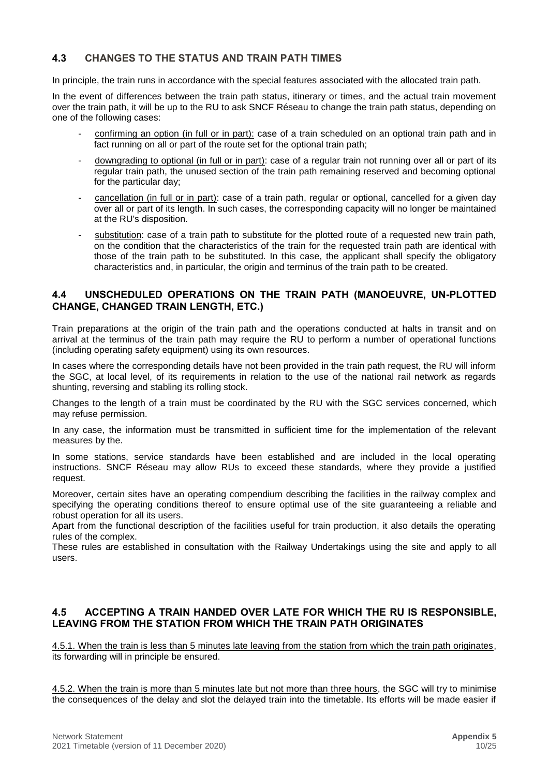#### <span id="page-9-0"></span>**4.3 CHANGES TO THE STATUS AND TRAIN PATH TIMES**

In principle, the train runs in accordance with the special features associated with the allocated train path.

In the event of differences between the train path status, itinerary or times, and the actual train movement over the train path, it will be up to the RU to ask SNCF Réseau to change the train path status, depending on one of the following cases:

- confirming an option (in full or in part): case of a train scheduled on an optional train path and in fact running on all or part of the route set for the optional train path;
- downgrading to optional (in full or in part): case of a regular train not running over all or part of its regular train path, the unused section of the train path remaining reserved and becoming optional for the particular day;
- cancellation (in full or in part): case of a train path, regular or optional, cancelled for a given day over all or part of its length. In such cases, the corresponding capacity will no longer be maintained at the RU's disposition.
- substitution: case of a train path to substitute for the plotted route of a requested new train path, on the condition that the characteristics of the train for the requested train path are identical with those of the train path to be substituted. In this case, the applicant shall specify the obligatory characteristics and, in particular, the origin and terminus of the train path to be created.

#### <span id="page-9-1"></span>**4.4 UNSCHEDULED OPERATIONS ON THE TRAIN PATH (MANOEUVRE, UN-PLOTTED CHANGE, CHANGED TRAIN LENGTH, ETC.)**

Train preparations at the origin of the train path and the operations conducted at halts in transit and on arrival at the terminus of the train path may require the RU to perform a number of operational functions (including operating safety equipment) using its own resources.

In cases where the corresponding details have not been provided in the train path request, the RU will inform the SGC, at local level, of its requirements in relation to the use of the national rail network as regards shunting, reversing and stabling its rolling stock.

Changes to the length of a train must be coordinated by the RU with the SGC services concerned, which may refuse permission.

In any case, the information must be transmitted in sufficient time for the implementation of the relevant measures by the.

In some stations, service standards have been established and are included in the local operating instructions. SNCF Réseau may allow RUs to exceed these standards, where they provide a justified request.

Moreover, certain sites have an operating compendium describing the facilities in the railway complex and specifying the operating conditions thereof to ensure optimal use of the site guaranteeing a reliable and robust operation for all its users.

Apart from the functional description of the facilities useful for train production, it also details the operating rules of the complex.

These rules are established in consultation with the Railway Undertakings using the site and apply to all users.

#### <span id="page-9-2"></span>**4.5 ACCEPTING A TRAIN HANDED OVER LATE FOR WHICH THE RU IS RESPONSIBLE, LEAVING FROM THE STATION FROM WHICH THE TRAIN PATH ORIGINATES**

4.5.1. When the train is less than 5 minutes late leaving from the station from which the train path originates, its forwarding will in principle be ensured.

4.5.2. When the train is more than 5 minutes late but not more than three hours, the SGC will try to minimise the consequences of the delay and slot the delayed train into the timetable. Its efforts will be made easier if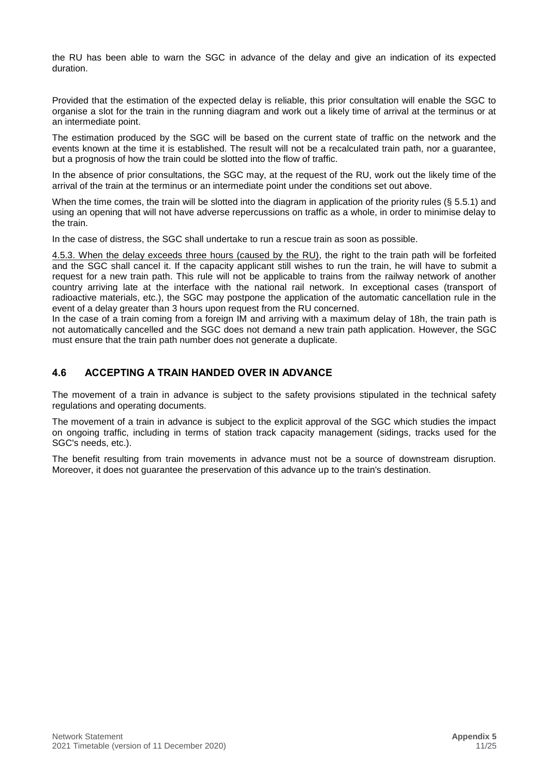the RU has been able to warn the SGC in advance of the delay and give an indication of its expected duration.

Provided that the estimation of the expected delay is reliable, this prior consultation will enable the SGC to organise a slot for the train in the running diagram and work out a likely time of arrival at the terminus or at an intermediate point.

The estimation produced by the SGC will be based on the current state of traffic on the network and the events known at the time it is established. The result will not be a recalculated train path, nor a quarantee, but a prognosis of how the train could be slotted into the flow of traffic.

In the absence of prior consultations, the SGC may, at the request of the RU, work out the likely time of the arrival of the train at the terminus or an intermediate point under the conditions set out above.

When the time comes, the train will be slotted into the diagram in application of the priority rules (§ 5.5.1) and using an opening that will not have adverse repercussions on traffic as a whole, in order to minimise delay to the train.

In the case of distress, the SGC shall undertake to run a rescue train as soon as possible.

4.5.3. When the delay exceeds three hours (caused by the RU), the right to the train path will be forfeited and the SGC shall cancel it. If the capacity applicant still wishes to run the train, he will have to submit a request for a new train path. This rule will not be applicable to trains from the railway network of another country arriving late at the interface with the national rail network. In exceptional cases (transport of radioactive materials, etc.), the SGC may postpone the application of the automatic cancellation rule in the event of a delay greater than 3 hours upon request from the RU concerned.

In the case of a train coming from a foreign IM and arriving with a maximum delay of 18h, the train path is not automatically cancelled and the SGC does not demand a new train path application. However, the SGC must ensure that the train path number does not generate a duplicate.

#### <span id="page-10-0"></span>**4.6 ACCEPTING A TRAIN HANDED OVER IN ADVANCE**

The movement of a train in advance is subject to the safety provisions stipulated in the technical safety regulations and operating documents.

The movement of a train in advance is subject to the explicit approval of the SGC which studies the impact on ongoing traffic, including in terms of station track capacity management (sidings, tracks used for the SGC's needs, etc.).

The benefit resulting from train movements in advance must not be a source of downstream disruption. Moreover, it does not guarantee the preservation of this advance up to the train's destination.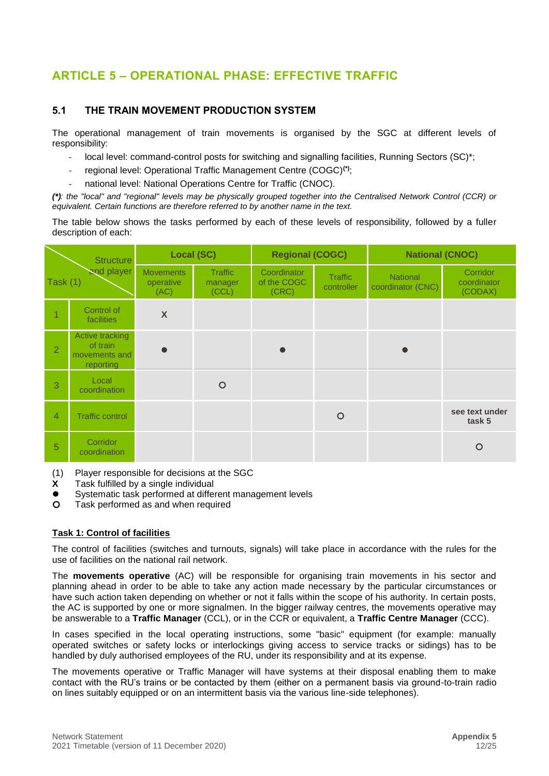## <span id="page-11-0"></span>**ARTICLE 5 – OPERATIONAL PHASE: EFFECTIVE TRAFFIC**

#### <span id="page-11-1"></span>**5.1 THE TRAIN MOVEMENT PRODUCTION SYSTEM**

The operational management of train movements is organised by the SGC at different levels of responsibility:

- local level: command-control posts for switching and signalling facilities, Running Sectors (SC)\*;
- regional level: Operational Traffic Management Centre (COGC)**(\*)**;
- national level: National Operations Centre for Traffic (CNOC).

*(\*): the "local" and "regional" levels may be physically grouped together into the Centralised Network Control (CCR) or equivalent. Certain functions are therefore referred to by another name in the text.* 

The table below shows the tasks performed by each of these levels of responsibility, followed by a fuller description of each:

|                        | <b>Structure</b>                                          | <b>Local (SC)</b>                     |                                    | <b>Regional (COGC)</b>              |                              | <b>National (CNOC)</b>               |                                    |
|------------------------|-----------------------------------------------------------|---------------------------------------|------------------------------------|-------------------------------------|------------------------------|--------------------------------------|------------------------------------|
| and player<br>Task (1) |                                                           | <b>Movements</b><br>operative<br>(AC) | <b>Traffic</b><br>manager<br>(CCL) | Coordinator<br>of the COGC<br>(CRC) | <b>Traffic</b><br>controller | <b>National</b><br>coordinator (CNC) | Corridor<br>coordinator<br>(CODAX) |
| $\overline{1}$         | Control of<br>facilities                                  | $\boldsymbol{X}$                      |                                    |                                     |                              |                                      |                                    |
| $\overline{2}$         | Active tracking<br>of train<br>movements and<br>reporting |                                       |                                    |                                     |                              |                                      |                                    |
| 3                      | Local<br>coordination                                     |                                       | $\circ$                            |                                     |                              |                                      |                                    |
| $\overline{4}$         | <b>Traffic control</b>                                    |                                       |                                    |                                     | $\circ$                      |                                      | see text under<br>task 5           |
| 5                      | Corridor<br>coordination                                  |                                       |                                    |                                     |                              |                                      | $\circ$                            |

- (1) Player responsible for decisions at the SGC
- **X** Task fulfilled by a single individual
- ⚫ Systematic task performed at different management levels
- Task performed as and when required

#### **Task 1: Control of facilities**

The control of facilities (switches and turnouts, signals) will take place in accordance with the rules for the use of facilities on the national rail network.

The **movements operative** (AC) will be responsible for organising train movements in his sector and planning ahead in order to be able to take any action made necessary by the particular circumstances or have such action taken depending on whether or not it falls within the scope of his authority. In certain posts, the AC is supported by one or more signalmen. In the bigger railway centres, the movements operative may be answerable to a **Traffic Manager** (CCL), or in the CCR or equivalent, a **Traffic Centre Manager** (CCC).

In cases specified in the local operating instructions, some "basic" equipment (for example: manually operated switches or safety locks or interlockings giving access to service tracks or sidings) has to be handled by duly authorised employees of the RU, under its responsibility and at its expense.

The movements operative or Traffic Manager will have systems at their disposal enabling them to make contact with the RU's trains or be contacted by them (either on a permanent basis via ground-to-train radio on lines suitably equipped or on an intermittent basis via the various line-side telephones).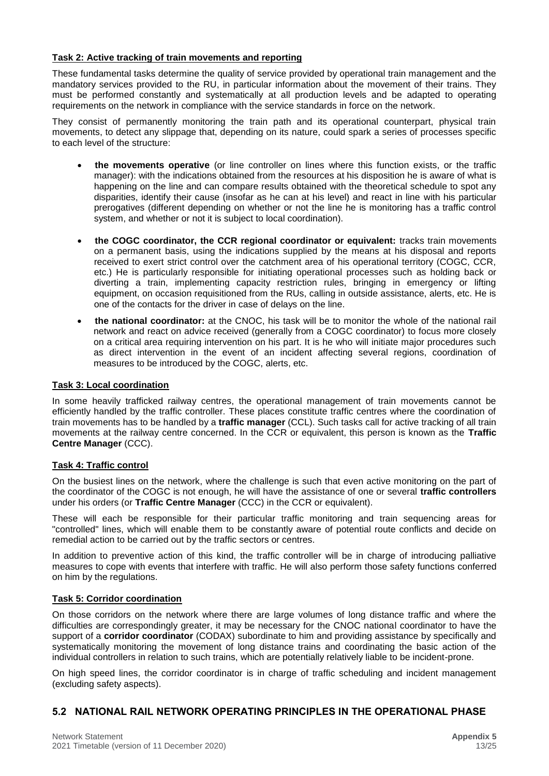#### **Task 2: Active tracking of train movements and reporting**

These fundamental tasks determine the quality of service provided by operational train management and the mandatory services provided to the RU, in particular information about the movement of their trains. They must be performed constantly and systematically at all production levels and be adapted to operating requirements on the network in compliance with the service standards in force on the network.

They consist of permanently monitoring the train path and its operational counterpart, physical train movements, to detect any slippage that, depending on its nature, could spark a series of processes specific to each level of the structure:

- **the movements operative** (or line controller on lines where this function exists, or the traffic manager): with the indications obtained from the resources at his disposition he is aware of what is happening on the line and can compare results obtained with the theoretical schedule to spot any disparities, identify their cause (insofar as he can at his level) and react in line with his particular prerogatives (different depending on whether or not the line he is monitoring has a traffic control system, and whether or not it is subject to local coordination).
- **the COGC coordinator, the CCR regional coordinator or equivalent:** tracks train movements on a permanent basis, using the indications supplied by the means at his disposal and reports received to exert strict control over the catchment area of his operational territory (COGC, CCR, etc.) He is particularly responsible for initiating operational processes such as holding back or diverting a train, implementing capacity restriction rules, bringing in emergency or lifting equipment, on occasion requisitioned from the RUs, calling in outside assistance, alerts, etc. He is one of the contacts for the driver in case of delays on the line.
- **the national coordinator:** at the CNOC, his task will be to monitor the whole of the national rail network and react on advice received (generally from a COGC coordinator) to focus more closely on a critical area requiring intervention on his part. It is he who will initiate major procedures such as direct intervention in the event of an incident affecting several regions, coordination of measures to be introduced by the COGC, alerts, etc.

#### **Task 3: Local coordination**

In some heavily trafficked railway centres, the operational management of train movements cannot be efficiently handled by the traffic controller. These places constitute traffic centres where the coordination of train movements has to be handled by a **traffic manager** (CCL). Such tasks call for active tracking of all train movements at the railway centre concerned. In the CCR or equivalent, this person is known as the **Traffic Centre Manager** (CCC).

#### **Task 4: Traffic control**

On the busiest lines on the network, where the challenge is such that even active monitoring on the part of the coordinator of the COGC is not enough, he will have the assistance of one or several **traffic controllers** under his orders (or **Traffic Centre Manager** (CCC) in the CCR or equivalent).

These will each be responsible for their particular traffic monitoring and train sequencing areas for "controlled" lines, which will enable them to be constantly aware of potential route conflicts and decide on remedial action to be carried out by the traffic sectors or centres.

In addition to preventive action of this kind, the traffic controller will be in charge of introducing palliative measures to cope with events that interfere with traffic. He will also perform those safety functions conferred on him by the regulations.

#### **Task 5: Corridor coordination**

On those corridors on the network where there are large volumes of long distance traffic and where the difficulties are correspondingly greater, it may be necessary for the CNOC national coordinator to have the support of a **corridor coordinator** (CODAX) subordinate to him and providing assistance by specifically and systematically monitoring the movement of long distance trains and coordinating the basic action of the individual controllers in relation to such trains, which are potentially relatively liable to be incident-prone.

On high speed lines, the corridor coordinator is in charge of traffic scheduling and incident management (excluding safety aspects).

#### <span id="page-12-0"></span>**5.2 NATIONAL RAIL NETWORK OPERATING PRINCIPLES IN THE OPERATIONAL PHASE**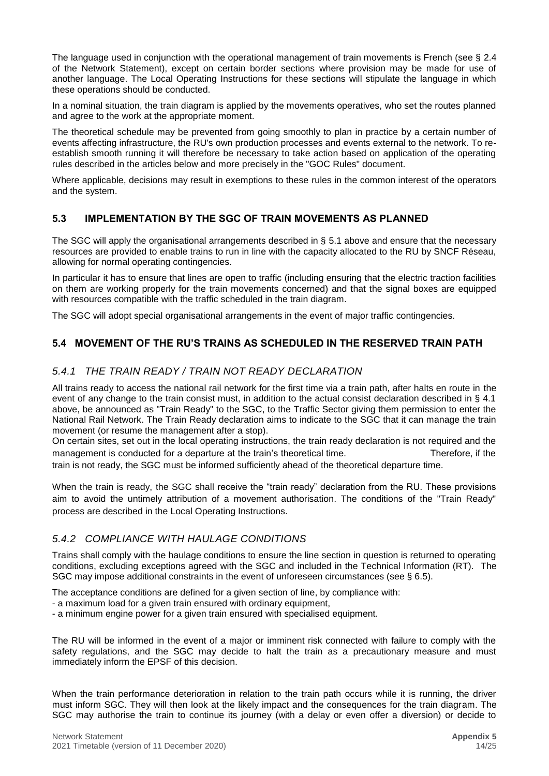The language used in conjunction with the operational management of train movements is French (see § 2.4 of the Network Statement), except on certain border sections where provision may be made for use of another language. The Local Operating Instructions for these sections will stipulate the language in which these operations should be conducted.

In a nominal situation, the train diagram is applied by the movements operatives, who set the routes planned and agree to the work at the appropriate moment.

The theoretical schedule may be prevented from going smoothly to plan in practice by a certain number of events affecting infrastructure, the RU's own production processes and events external to the network. To reestablish smooth running it will therefore be necessary to take action based on application of the operating rules described in the articles below and more precisely in the "GOC Rules" document.

Where applicable, decisions may result in exemptions to these rules in the common interest of the operators and the system.

#### <span id="page-13-0"></span>**5.3 IMPLEMENTATION BY THE SGC OF TRAIN MOVEMENTS AS PLANNED**

The SGC will apply the organisational arrangements described in § 5.1 above and ensure that the necessary resources are provided to enable trains to run in line with the capacity allocated to the RU by SNCF Réseau, allowing for normal operating contingencies.

In particular it has to ensure that lines are open to traffic (including ensuring that the electric traction facilities on them are working properly for the train movements concerned) and that the signal boxes are equipped with resources compatible with the traffic scheduled in the train diagram.

The SGC will adopt special organisational arrangements in the event of major traffic contingencies.

#### <span id="page-13-1"></span>**5.4 MOVEMENT OF THE RU'S TRAINS AS SCHEDULED IN THE RESERVED TRAIN PATH**

#### *5.4.1 THE TRAIN READY / TRAIN NOT READY DECLARATION*

All trains ready to access the national rail network for the first time via a train path, after halts en route in the event of any change to the train consist must, in addition to the actual consist declaration described in § 4.1 above, be announced as "Train Ready" to the SGC, to the Traffic Sector giving them permission to enter the National Rail Network. The Train Ready declaration aims to indicate to the SGC that it can manage the train movement (or resume the management after a stop).

On certain sites, set out in the local operating instructions, the train ready declaration is not required and the management is conducted for a departure at the train's theoretical time. Therefore, if the

train is not ready, the SGC must be informed sufficiently ahead of the theoretical departure time.

When the train is ready, the SGC shall receive the "train ready" declaration from the RU. These provisions aim to avoid the untimely attribution of a movement authorisation. The conditions of the "Train Ready" process are described in the Local Operating Instructions.

#### *5.4.2 COMPLIANCE WITH HAULAGE CONDITIONS*

Trains shall comply with the haulage conditions to ensure the line section in question is returned to operating conditions, excluding exceptions agreed with the SGC and included in the Technical Information (RT). The SGC may impose additional constraints in the event of unforeseen circumstances (see § 6.5).

The acceptance conditions are defined for a given section of line, by compliance with:

- a maximum load for a given train ensured with ordinary equipment,
- a minimum engine power for a given train ensured with specialised equipment.

The RU will be informed in the event of a major or imminent risk connected with failure to comply with the safety regulations, and the SGC may decide to halt the train as a precautionary measure and must immediately inform the EPSF of this decision.

When the train performance deterioration in relation to the train path occurs while it is running, the driver must inform SGC. They will then look at the likely impact and the consequences for the train diagram. The SGC may authorise the train to continue its journey (with a delay or even offer a diversion) or decide to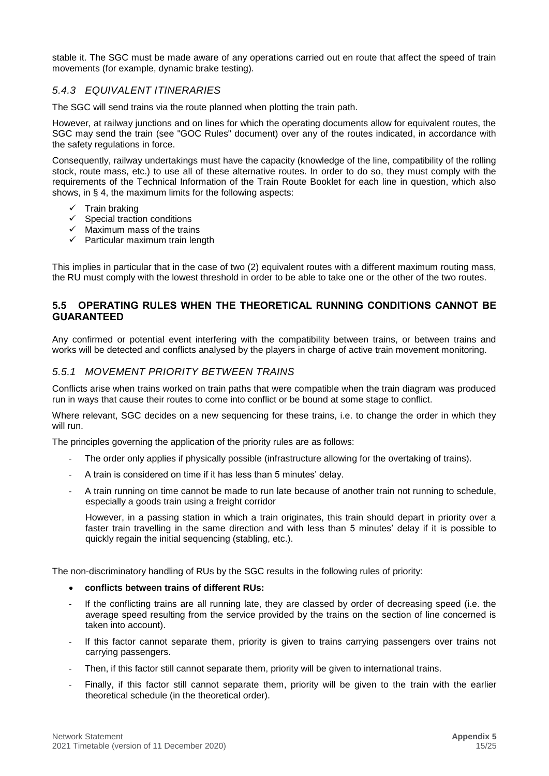stable it. The SGC must be made aware of any operations carried out en route that affect the speed of train movements (for example, dynamic brake testing).

#### *5.4.3 EQUIVALENT ITINERARIES*

The SGC will send trains via the route planned when plotting the train path.

However, at railway junctions and on lines for which the operating documents allow for equivalent routes, the SGC may send the train (see "GOC Rules" document) over any of the routes indicated, in accordance with the safety regulations in force.

Consequently, railway undertakings must have the capacity (knowledge of the line, compatibility of the rolling stock, route mass, etc.) to use all of these alternative routes. In order to do so, they must comply with the requirements of the Technical Information of the Train Route Booklet for each line in question, which also shows, in § 4, the maximum limits for the following aspects:

- ✓ Train braking
- $\checkmark$  Special traction conditions
- $\checkmark$  Maximum mass of the trains
- $\checkmark$  Particular maximum train length

This implies in particular that in the case of two (2) equivalent routes with a different maximum routing mass, the RU must comply with the lowest threshold in order to be able to take one or the other of the two routes.

#### <span id="page-14-0"></span>**5.5 OPERATING RULES WHEN THE THEORETICAL RUNNING CONDITIONS CANNOT BE GUARANTEED**

Any confirmed or potential event interfering with the compatibility between trains, or between trains and works will be detected and conflicts analysed by the players in charge of active train movement monitoring.

#### *5.5.1 MOVEMENT PRIORITY BETWEEN TRAINS*

Conflicts arise when trains worked on train paths that were compatible when the train diagram was produced run in ways that cause their routes to come into conflict or be bound at some stage to conflict.

Where relevant, SGC decides on a new sequencing for these trains, i.e. to change the order in which they will run.

The principles governing the application of the priority rules are as follows:

- The order only applies if physically possible (infrastructure allowing for the overtaking of trains).
- A train is considered on time if it has less than 5 minutes' delay.
- A train running on time cannot be made to run late because of another train not running to schedule, especially a goods train using a freight corridor

However, in a passing station in which a train originates, this train should depart in priority over a faster train travelling in the same direction and with less than 5 minutes' delay if it is possible to quickly regain the initial sequencing (stabling, etc.).

The non-discriminatory handling of RUs by the SGC results in the following rules of priority:

- **conflicts between trains of different RUs:**
- If the conflicting trains are all running late, they are classed by order of decreasing speed (i.e. the average speed resulting from the service provided by the trains on the section of line concerned is taken into account).
- If this factor cannot separate them, priority is given to trains carrying passengers over trains not carrying passengers.
- Then, if this factor still cannot separate them, priority will be given to international trains.
- Finally, if this factor still cannot separate them, priority will be given to the train with the earlier theoretical schedule (in the theoretical order).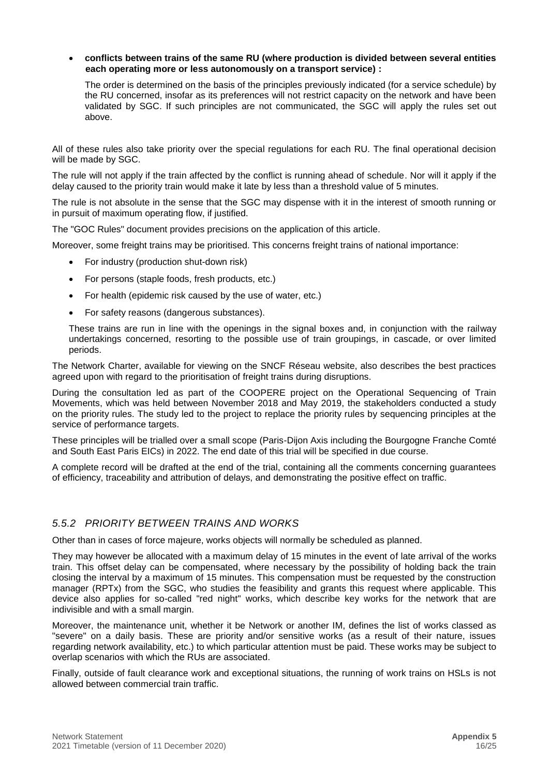#### • **conflicts between trains of the same RU (where production is divided between several entities each operating more or less autonomously on a transport service) :**

The order is determined on the basis of the principles previously indicated (for a service schedule) by the RU concerned, insofar as its preferences will not restrict capacity on the network and have been validated by SGC. If such principles are not communicated, the SGC will apply the rules set out above.

All of these rules also take priority over the special regulations for each RU. The final operational decision will be made by SGC.

The rule will not apply if the train affected by the conflict is running ahead of schedule. Nor will it apply if the delay caused to the priority train would make it late by less than a threshold value of 5 minutes.

The rule is not absolute in the sense that the SGC may dispense with it in the interest of smooth running or in pursuit of maximum operating flow, if justified.

The "GOC Rules" document provides precisions on the application of this article.

Moreover, some freight trains may be prioritised. This concerns freight trains of national importance:

- For industry (production shut-down risk)
- For persons (staple foods, fresh products, etc.)
- For health (epidemic risk caused by the use of water, etc.)
- For safety reasons (dangerous substances).

These trains are run in line with the openings in the signal boxes and, in conjunction with the railway undertakings concerned, resorting to the possible use of train groupings, in cascade, or over limited periods.

The Network Charter, available for viewing on the SNCF Réseau website, also describes the best practices agreed upon with regard to the prioritisation of freight trains during disruptions.

During the consultation led as part of the COOPERE project on the Operational Sequencing of Train Movements, which was held between November 2018 and May 2019, the stakeholders conducted a study on the priority rules. The study led to the project to replace the priority rules by sequencing principles at the service of performance targets.

These principles will be trialled over a small scope (Paris-Dijon Axis including the Bourgogne Franche Comté and South East Paris EICs) in 2022. The end date of this trial will be specified in due course.

A complete record will be drafted at the end of the trial, containing all the comments concerning guarantees of efficiency, traceability and attribution of delays, and demonstrating the positive effect on traffic.

#### *5.5.2 PRIORITY BETWEEN TRAINS AND WORKS*

Other than in cases of force majeure, works objects will normally be scheduled as planned.

They may however be allocated with a maximum delay of 15 minutes in the event of late arrival of the works train. This offset delay can be compensated, where necessary by the possibility of holding back the train closing the interval by a maximum of 15 minutes. This compensation must be requested by the construction manager (RPTx) from the SGC, who studies the feasibility and grants this request where applicable. This device also applies for so-called "red night" works, which describe key works for the network that are indivisible and with a small margin.

Moreover, the maintenance unit, whether it be Network or another IM, defines the list of works classed as "severe" on a daily basis. These are priority and/or sensitive works (as a result of their nature, issues regarding network availability, etc.) to which particular attention must be paid. These works may be subject to overlap scenarios with which the RUs are associated.

Finally, outside of fault clearance work and exceptional situations, the running of work trains on HSLs is not allowed between commercial train traffic.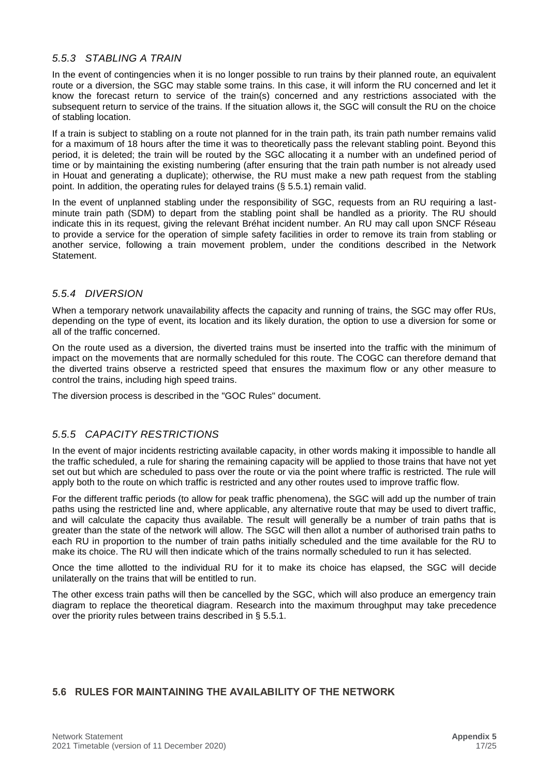#### *5.5.3 STABLING A TRAIN*

In the event of contingencies when it is no longer possible to run trains by their planned route, an equivalent route or a diversion, the SGC may stable some trains. In this case, it will inform the RU concerned and let it know the forecast return to service of the train(s) concerned and any restrictions associated with the subsequent return to service of the trains. If the situation allows it, the SGC will consult the RU on the choice of stabling location.

If a train is subject to stabling on a route not planned for in the train path, its train path number remains valid for a maximum of 18 hours after the time it was to theoretically pass the relevant stabling point. Beyond this period, it is deleted; the train will be routed by the SGC allocating it a number with an undefined period of time or by maintaining the existing numbering (after ensuring that the train path number is not already used in Houat and generating a duplicate); otherwise, the RU must make a new path request from the stabling point. In addition, the operating rules for delayed trains (§ 5.5.1) remain valid.

In the event of unplanned stabling under the responsibility of SGC, requests from an RU requiring a lastminute train path (SDM) to depart from the stabling point shall be handled as a priority. The RU should indicate this in its request, giving the relevant Bréhat incident number. An RU may call upon SNCF Réseau to provide a service for the operation of simple safety facilities in order to remove its train from stabling or another service, following a train movement problem, under the conditions described in the Network Statement.

#### *5.5.4 DIVERSION*

When a temporary network unavailability affects the capacity and running of trains, the SGC may offer RUs, depending on the type of event, its location and its likely duration, the option to use a diversion for some or all of the traffic concerned.

On the route used as a diversion, the diverted trains must be inserted into the traffic with the minimum of impact on the movements that are normally scheduled for this route. The COGC can therefore demand that the diverted trains observe a restricted speed that ensures the maximum flow or any other measure to control the trains, including high speed trains.

The diversion process is described in the "GOC Rules" document.

#### *5.5.5 CAPACITY RESTRICTIONS*

In the event of major incidents restricting available capacity, in other words making it impossible to handle all the traffic scheduled, a rule for sharing the remaining capacity will be applied to those trains that have not yet set out but which are scheduled to pass over the route or via the point where traffic is restricted. The rule will apply both to the route on which traffic is restricted and any other routes used to improve traffic flow.

For the different traffic periods (to allow for peak traffic phenomena), the SGC will add up the number of train paths using the restricted line and, where applicable, any alternative route that may be used to divert traffic, and will calculate the capacity thus available. The result will generally be a number of train paths that is greater than the state of the network will allow. The SGC will then allot a number of authorised train paths to each RU in proportion to the number of train paths initially scheduled and the time available for the RU to make its choice. The RU will then indicate which of the trains normally scheduled to run it has selected.

Once the time allotted to the individual RU for it to make its choice has elapsed, the SGC will decide unilaterally on the trains that will be entitled to run.

The other excess train paths will then be cancelled by the SGC, which will also produce an emergency train diagram to replace the theoretical diagram. Research into the maximum throughput may take precedence over the priority rules between trains described in § 5.5.1.

#### <span id="page-16-0"></span>**5.6 RULES FOR MAINTAINING THE AVAILABILITY OF THE NETWORK**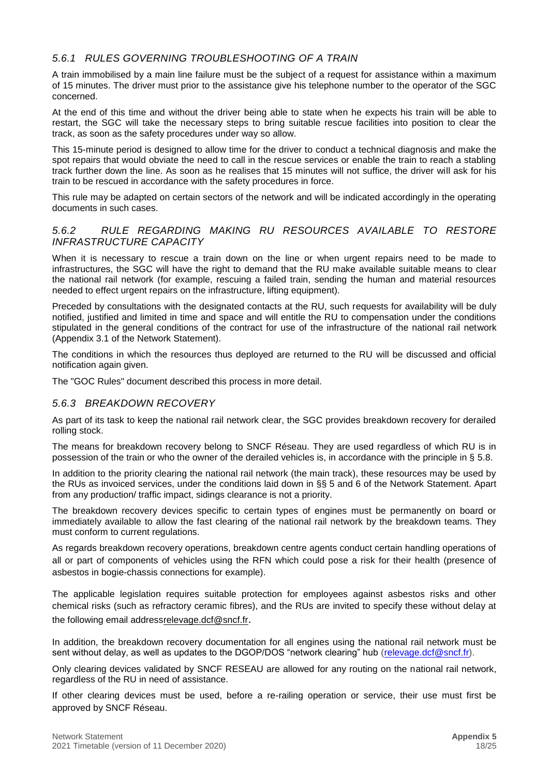#### *5.6.1 RULES GOVERNING TROUBLESHOOTING OF A TRAIN*

A train immobilised by a main line failure must be the subject of a request for assistance within a maximum of 15 minutes. The driver must prior to the assistance give his telephone number to the operator of the SGC concerned.

At the end of this time and without the driver being able to state when he expects his train will be able to restart, the SGC will take the necessary steps to bring suitable rescue facilities into position to clear the track, as soon as the safety procedures under way so allow.

This 15-minute period is designed to allow time for the driver to conduct a technical diagnosis and make the spot repairs that would obviate the need to call in the rescue services or enable the train to reach a stabling track further down the line. As soon as he realises that 15 minutes will not suffice, the driver will ask for his train to be rescued in accordance with the safety procedures in force.

This rule may be adapted on certain sectors of the network and will be indicated accordingly in the operating documents in such cases.

#### *5.6.2 RULE REGARDING MAKING RU RESOURCES AVAILABLE TO RESTORE INFRASTRUCTURE CAPACITY*

When it is necessary to rescue a train down on the line or when urgent repairs need to be made to infrastructures, the SGC will have the right to demand that the RU make available suitable means to clear the national rail network (for example, rescuing a failed train, sending the human and material resources needed to effect urgent repairs on the infrastructure, lifting equipment).

Preceded by consultations with the designated contacts at the RU, such requests for availability will be duly notified, justified and limited in time and space and will entitle the RU to compensation under the conditions stipulated in the general conditions of the contract for use of the infrastructure of the national rail network (Appendix 3.1 of the Network Statement).

The conditions in which the resources thus deployed are returned to the RU will be discussed and official notification again given.

The "GOC Rules" document described this process in more detail.

#### *5.6.3 BREAKDOWN RECOVERY*

As part of its task to keep the national rail network clear, the SGC provides breakdown recovery for derailed rolling stock.

The means for breakdown recovery belong to SNCF Réseau. They are used regardless of which RU is in possession of the train or who the owner of the derailed vehicles is, in accordance with the principle in § 5.8.

In addition to the priority clearing the national rail network (the main track), these resources may be used by the RUs as invoiced services, under the conditions laid down in §§ 5 and 6 of the Network Statement. Apart from any production/ traffic impact, sidings clearance is not a priority.

The breakdown recovery devices specific to certain types of engines must be permanently on board or immediately available to allow the fast clearing of the national rail network by the breakdown teams. They must conform to current regulations.

As regards breakdown recovery operations, breakdown centre agents conduct certain handling operations of all or part of components of vehicles using the RFN which could pose a risk for their health (presence of asbestos in bogie-chassis connections for example).

The applicable legislation requires suitable protection for employees against asbestos risks and other chemical risks (such as refractory ceramic fibres), and the RUs are invited to specify these without delay at the following email addres[srelevage.dcf@sncf.fr](relevage.dcf@sncf.fr).

In addition, the breakdown recovery documentation for all engines using the national rail network must be sent without delay, as well as updates to the DGOP/DOS "network clearing" hub [\(relevage.dcf@sncf.fr\)](mailto:relevage.dcf@sncf.fr).

Only clearing devices validated by SNCF RESEAU are allowed for any routing on the national rail network, regardless of the RU in need of assistance.

If other clearing devices must be used, before a re-railing operation or service, their use must first be approved by SNCF Réseau.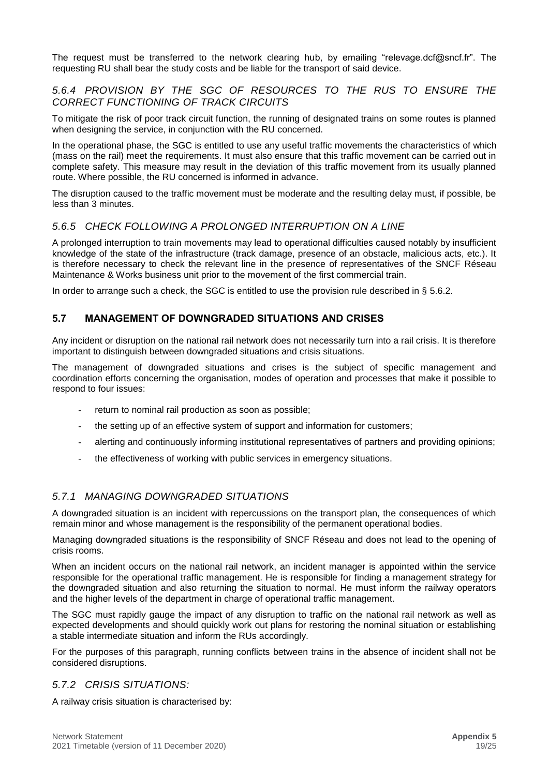The request must be transferred to the network clearing hub, by emailing "relevage.dcf@sncf.fr". The requesting RU shall bear the study costs and be liable for the transport of said device.

#### *5.6.4 PROVISION BY THE SGC OF RESOURCES TO THE RUS TO ENSURE THE CORRECT FUNCTIONING OF TRACK CIRCUITS*

To mitigate the risk of poor track circuit function, the running of designated trains on some routes is planned when designing the service, in conjunction with the RU concerned.

In the operational phase, the SGC is entitled to use any useful traffic movements the characteristics of which (mass on the rail) meet the requirements. It must also ensure that this traffic movement can be carried out in complete safety. This measure may result in the deviation of this traffic movement from its usually planned route. Where possible, the RU concerned is informed in advance.

The disruption caused to the traffic movement must be moderate and the resulting delay must, if possible, be less than 3 minutes.

#### *5.6.5 CHECK FOLLOWING A PROLONGED INTERRUPTION ON A LINE*

A prolonged interruption to train movements may lead to operational difficulties caused notably by insufficient knowledge of the state of the infrastructure (track damage, presence of an obstacle, malicious acts, etc.). It is therefore necessary to check the relevant line in the presence of representatives of the SNCF Réseau Maintenance & Works business unit prior to the movement of the first commercial train.

In order to arrange such a check, the SGC is entitled to use the provision rule described in § 5.6.2.

#### <span id="page-18-0"></span>**5.7 MANAGEMENT OF DOWNGRADED SITUATIONS AND CRISES**

Any incident or disruption on the national rail network does not necessarily turn into a rail crisis. It is therefore important to distinguish between downgraded situations and crisis situations.

The management of downgraded situations and crises is the subject of specific management and coordination efforts concerning the organisation, modes of operation and processes that make it possible to respond to four issues:

- return to nominal rail production as soon as possible;
- the setting up of an effective system of support and information for customers;
- alerting and continuously informing institutional representatives of partners and providing opinions;
- the effectiveness of working with public services in emergency situations.

#### *5.7.1 MANAGING DOWNGRADED SITUATIONS*

A downgraded situation is an incident with repercussions on the transport plan, the consequences of which remain minor and whose management is the responsibility of the permanent operational bodies.

Managing downgraded situations is the responsibility of SNCF Réseau and does not lead to the opening of crisis rooms.

When an incident occurs on the national rail network, an incident manager is appointed within the service responsible for the operational traffic management. He is responsible for finding a management strategy for the downgraded situation and also returning the situation to normal. He must inform the railway operators and the higher levels of the department in charge of operational traffic management.

The SGC must rapidly gauge the impact of any disruption to traffic on the national rail network as well as expected developments and should quickly work out plans for restoring the nominal situation or establishing a stable intermediate situation and inform the RUs accordingly.

For the purposes of this paragraph, running conflicts between trains in the absence of incident shall not be considered disruptions.

#### *5.7.2 CRISIS SITUATIONS:*

A railway crisis situation is characterised by: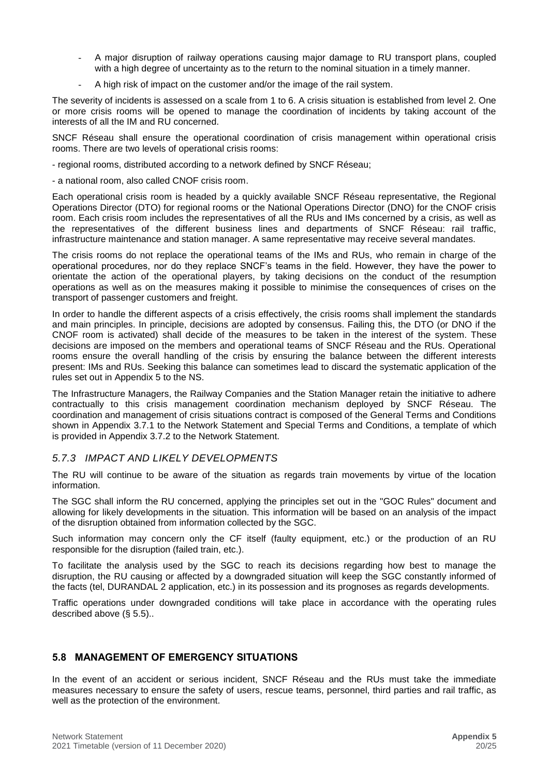- A major disruption of railway operations causing major damage to RU transport plans, coupled with a high degree of uncertainty as to the return to the nominal situation in a timely manner.
- A high risk of impact on the customer and/or the image of the rail system.

The severity of incidents is assessed on a scale from 1 to 6. A crisis situation is established from level 2. One or more crisis rooms will be opened to manage the coordination of incidents by taking account of the interests of all the IM and RU concerned.

SNCF Réseau shall ensure the operational coordination of crisis management within operational crisis rooms. There are two levels of operational crisis rooms:

- regional rooms, distributed according to a network defined by SNCF Réseau;

- a national room, also called CNOF crisis room.

Each operational crisis room is headed by a quickly available SNCF Réseau representative, the Regional Operations Director (DTO) for regional rooms or the National Operations Director (DNO) for the CNOF crisis room. Each crisis room includes the representatives of all the RUs and IMs concerned by a crisis, as well as the representatives of the different business lines and departments of SNCF Réseau: rail traffic, infrastructure maintenance and station manager. A same representative may receive several mandates.

The crisis rooms do not replace the operational teams of the IMs and RUs, who remain in charge of the operational procedures, nor do they replace SNCF's teams in the field. However, they have the power to orientate the action of the operational players, by taking decisions on the conduct of the resumption operations as well as on the measures making it possible to minimise the consequences of crises on the transport of passenger customers and freight.

In order to handle the different aspects of a crisis effectively, the crisis rooms shall implement the standards and main principles. In principle, decisions are adopted by consensus. Failing this, the DTO (or DNO if the CNOF room is activated) shall decide of the measures to be taken in the interest of the system. These decisions are imposed on the members and operational teams of SNCF Réseau and the RUs. Operational rooms ensure the overall handling of the crisis by ensuring the balance between the different interests present: IMs and RUs. Seeking this balance can sometimes lead to discard the systematic application of the rules set out in Appendix 5 to the NS.

The Infrastructure Managers, the Railway Companies and the Station Manager retain the initiative to adhere contractually to this crisis management coordination mechanism deployed by SNCF Réseau. The coordination and management of crisis situations contract is composed of the General Terms and Conditions shown in Appendix 3.7.1 to the Network Statement and Special Terms and Conditions, a template of which is provided in Appendix 3.7.2 to the Network Statement.

#### *5.7.3 IMPACT AND LIKELY DEVELOPMENTS*

The RU will continue to be aware of the situation as regards train movements by virtue of the location information.

The SGC shall inform the RU concerned, applying the principles set out in the "GOC Rules" document and allowing for likely developments in the situation. This information will be based on an analysis of the impact of the disruption obtained from information collected by the SGC.

Such information may concern only the CF itself (faulty equipment, etc.) or the production of an RU responsible for the disruption (failed train, etc.).

To facilitate the analysis used by the SGC to reach its decisions regarding how best to manage the disruption, the RU causing or affected by a downgraded situation will keep the SGC constantly informed of the facts (tel, DURANDAL 2 application, etc.) in its possession and its prognoses as regards developments.

Traffic operations under downgraded conditions will take place in accordance with the operating rules described above (§ 5.5)..

#### <span id="page-19-0"></span>**5.8 MANAGEMENT OF EMERGENCY SITUATIONS**

In the event of an accident or serious incident, SNCF Réseau and the RUs must take the immediate measures necessary to ensure the safety of users, rescue teams, personnel, third parties and rail traffic, as well as the protection of the environment.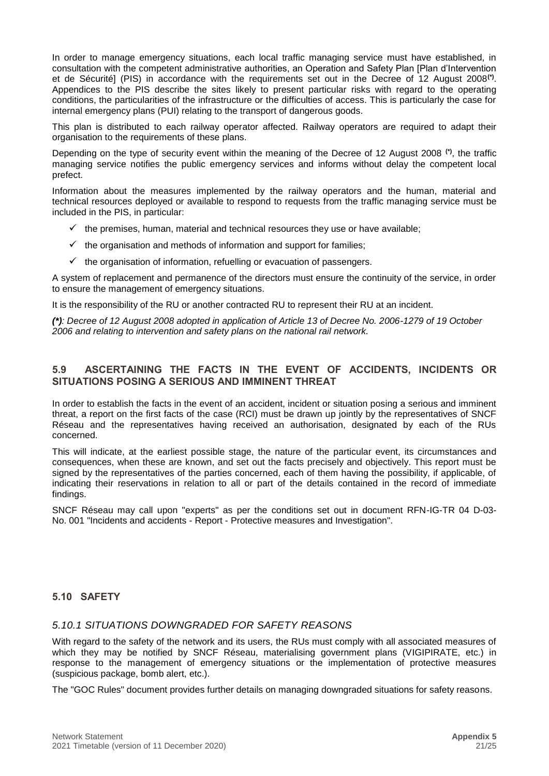In order to manage emergency situations, each local traffic managing service must have established, in consultation with the competent administrative authorities, an Operation and Safety Plan [Plan d'Intervention et de Sécurité] (PIS) in accordance with the requirements set out in the Decree of 12 August 2008**(\*)** . Appendices to the PIS describe the sites likely to present particular risks with regard to the operating conditions, the particularities of the infrastructure or the difficulties of access. This is particularly the case for internal emergency plans (PUI) relating to the transport of dangerous goods.

This plan is distributed to each railway operator affected. Railway operators are required to adapt their organisation to the requirements of these plans.

Depending on the type of security event within the meaning of the Decree of 12 August 2008 **(\*)**, the traffic managing service notifies the public emergency services and informs without delay the competent local prefect.

Information about the measures implemented by the railway operators and the human, material and technical resources deployed or available to respond to requests from the traffic managing service must be included in the PIS, in particular:

- $\checkmark$  the premises, human, material and technical resources they use or have available;
- $\checkmark$  the organisation and methods of information and support for families;
- $\checkmark$  the organisation of information, refuelling or evacuation of passengers.

A system of replacement and permanence of the directors must ensure the continuity of the service, in order to ensure the management of emergency situations.

It is the responsibility of the RU or another contracted RU to represent their RU at an incident.

*(\*): Decree of 12 August 2008 adopted in application of Article 13 of Decree No. 2006-1279 of 19 October 2006 and relating to intervention and safety plans on the national rail network.*

#### <span id="page-20-0"></span>**5.9 ASCERTAINING THE FACTS IN THE EVENT OF ACCIDENTS, INCIDENTS OR SITUATIONS POSING A SERIOUS AND IMMINENT THREAT**

In order to establish the facts in the event of an accident, incident or situation posing a serious and imminent threat, a report on the first facts of the case (RCI) must be drawn up jointly by the representatives of SNCF Réseau and the representatives having received an authorisation, designated by each of the RUs concerned.

This will indicate, at the earliest possible stage, the nature of the particular event, its circumstances and consequences, when these are known, and set out the facts precisely and objectively. This report must be signed by the representatives of the parties concerned, each of them having the possibility, if applicable, of indicating their reservations in relation to all or part of the details contained in the record of immediate findings.

SNCF Réseau may call upon "experts" as per the conditions set out in document RFN-IG-TR 04 D-03- No. 001 "Incidents and accidents - Report - Protective measures and Investigation".

#### <span id="page-20-1"></span>**5.10 SAFETY**

#### *5.10.1 SITUATIONS DOWNGRADED FOR SAFETY REASONS*

With regard to the safety of the network and its users, the RUs must comply with all associated measures of which they may be notified by SNCF Réseau, materialising government plans (VIGIPIRATE, etc.) in response to the management of emergency situations or the implementation of protective measures (suspicious package, bomb alert, etc.).

The "GOC Rules" document provides further details on managing downgraded situations for safety reasons.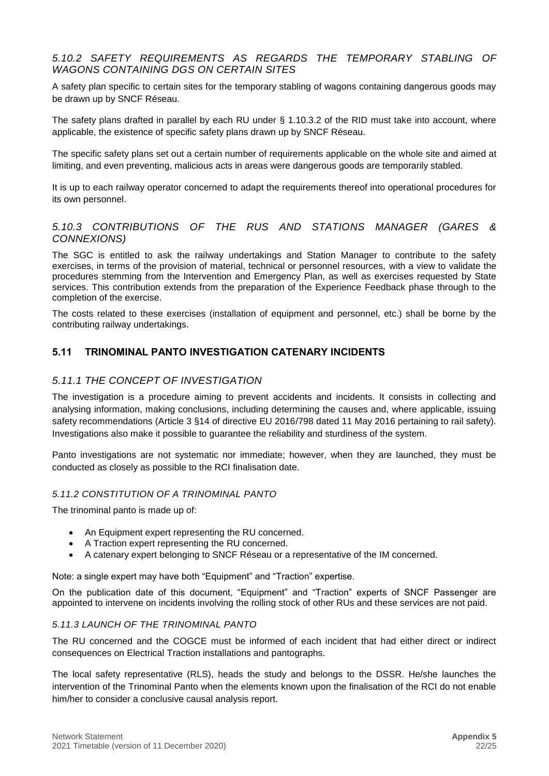#### *5.10.2 SAFETY REQUIREMENTS AS REGARDS THE TEMPORARY STABLING OF WAGONS CONTAINING DGS ON CERTAIN SITES*

A safety plan specific to certain sites for the temporary stabling of wagons containing dangerous goods may be drawn up by SNCF Réseau.

The safety plans drafted in parallel by each RU under § 1.10.3.2 of the RID must take into account, where applicable, the existence of specific safety plans drawn up by SNCF Réseau.

The specific safety plans set out a certain number of requirements applicable on the whole site and aimed at limiting, and even preventing, malicious acts in areas were dangerous goods are temporarily stabled.

It is up to each railway operator concerned to adapt the requirements thereof into operational procedures for its own personnel.

#### *5.10.3 CONTRIBUTIONS OF THE RUS AND STATIONS MANAGER (GARES & CONNEXIONS)*

The SGC is entitled to ask the railway undertakings and Station Manager to contribute to the safety exercises, in terms of the provision of material, technical or personnel resources, with a view to validate the procedures stemming from the Intervention and Emergency Plan, as well as exercises requested by State services. This contribution extends from the preparation of the Experience Feedback phase through to the completion of the exercise.

The costs related to these exercises (installation of equipment and personnel, etc.) shall be borne by the contributing railway undertakings.

#### <span id="page-21-0"></span>**5.11 TRINOMINAL PANTO INVESTIGATION CATENARY INCIDENTS**

#### *5.11.1 THE CONCEPT OF INVESTIGATION*

The investigation is a procedure aiming to prevent accidents and incidents. It consists in collecting and analysing information, making conclusions, including determining the causes and, where applicable, issuing safety recommendations (Article 3 §14 of directive EU 2016/798 dated 11 May 2016 pertaining to rail safety). Investigations also make it possible to guarantee the reliability and sturdiness of the system.

Panto investigations are not systematic nor immediate; however, when they are launched, they must be conducted as closely as possible to the RCI finalisation date.

#### *5.11.2 CONSTITUTION OF A TRINOMINAL PANTO*

The trinominal panto is made up of:

- An Equipment expert representing the RU concerned.
- A Traction expert representing the RU concerned.
- A catenary expert belonging to SNCF Réseau or a representative of the IM concerned.

Note: a single expert may have both "Equipment" and "Traction" expertise.

On the publication date of this document, "Equipment" and "Traction" experts of SNCF Passenger are appointed to intervene on incidents involving the rolling stock of other RUs and these services are not paid.

#### *5.11.3 LAUNCH OF THE TRINOMINAL PANTO*

The RU concerned and the COGCE must be informed of each incident that had either direct or indirect consequences on Electrical Traction installations and pantographs.

The local safety representative (RLS), heads the study and belongs to the DSSR. He/she launches the intervention of the Trinominal Panto when the elements known upon the finalisation of the RCI do not enable him/her to consider a conclusive causal analysis report.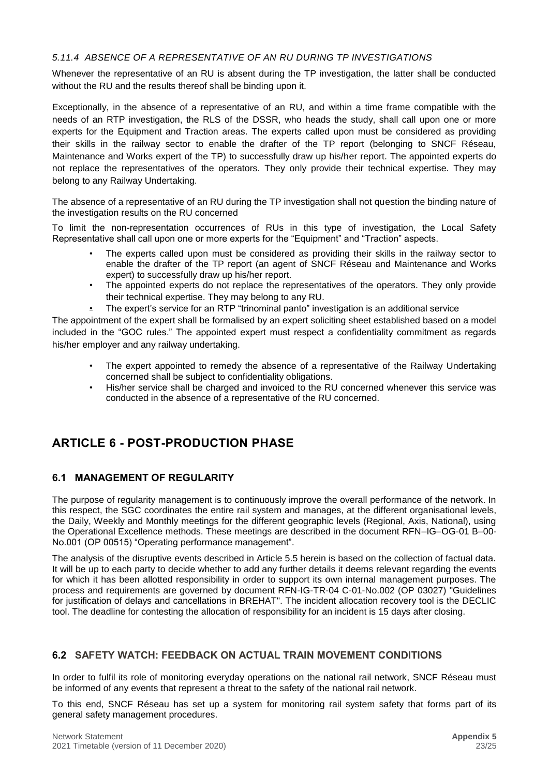#### *5.11.4 ABSENCE OF A REPRESENTATIVE OF AN RU DURING TP INVESTIGATIONS*

Whenever the representative of an RU is absent during the TP investigation, the latter shall be conducted without the RU and the results thereof shall be binding upon it.

Exceptionally, in the absence of a representative of an RU, and within a time frame compatible with the needs of an RTP investigation, the RLS of the DSSR, who heads the study, shall call upon one or more experts for the Equipment and Traction areas. The experts called upon must be considered as providing their skills in the railway sector to enable the drafter of the TP report (belonging to SNCF Réseau, Maintenance and Works expert of the TP) to successfully draw up his/her report. The appointed experts do not replace the representatives of the operators. They only provide their technical expertise. They may belong to any Railway Undertaking.

The absence of a representative of an RU during the TP investigation shall not question the binding nature of the investigation results on the RU concerned

To limit the non-representation occurrences of RUs in this type of investigation, the Local Safety Representative shall call upon one or more experts for the "Equipment" and "Traction" aspects.

- The experts called upon must be considered as providing their skills in the railway sector to enable the drafter of the TP report (an agent of SNCF Réseau and Maintenance and Works expert) to successfully draw up his/her report.
- The appointed experts do not replace the representatives of the operators. They only provide their technical expertise. They may belong to any RU.
- The expert's service for an RTP "trinominal panto" investigation is an additional service

The appointment of the expert shall be formalised by an expert soliciting sheet established based on a model included in the "GOC rules." The appointed expert must respect a confidentiality commitment as regards his/her employer and any railway undertaking.

- The expert appointed to remedy the absence of a representative of the Railway Undertaking concerned shall be subject to confidentiality obligations.
- His/her service shall be charged and invoiced to the RU concerned whenever this service was conducted in the absence of a representative of the RU concerned.

## <span id="page-22-0"></span>**ARTICLE 6 - POST-PRODUCTION PHASE**

#### <span id="page-22-1"></span>**6.1 MANAGEMENT OF REGULARITY**

The purpose of regularity management is to continuously improve the overall performance of the network. In this respect, the SGC coordinates the entire rail system and manages, at the different organisational levels, the Daily, Weekly and Monthly meetings for the different geographic levels (Regional, Axis, National), using the Operational Excellence methods. These meetings are described in the document RFN–IG–OG-01 B–00- No.001 (OP 00515) "Operating performance management".

The analysis of the disruptive events described in Article 5.5 herein is based on the collection of factual data. It will be up to each party to decide whether to add any further details it deems relevant regarding the events for which it has been allotted responsibility in order to support its own internal management purposes. The process and requirements are governed by document RFN-IG-TR-04 C-01-No.002 (OP 03027) "Guidelines for justification of delays and cancellations in BREHAT". The incident allocation recovery tool is the DECLIC tool. The deadline for contesting the allocation of responsibility for an incident is 15 days after closing.

#### <span id="page-22-2"></span>**6.2 SAFETY WATCH: FEEDBACK ON ACTUAL TRAIN MOVEMENT CONDITIONS**

In order to fulfil its role of monitoring everyday operations on the national rail network, SNCF Réseau must be informed of any events that represent a threat to the safety of the national rail network.

To this end, SNCF Réseau has set up a system for monitoring rail system safety that forms part of its general safety management procedures.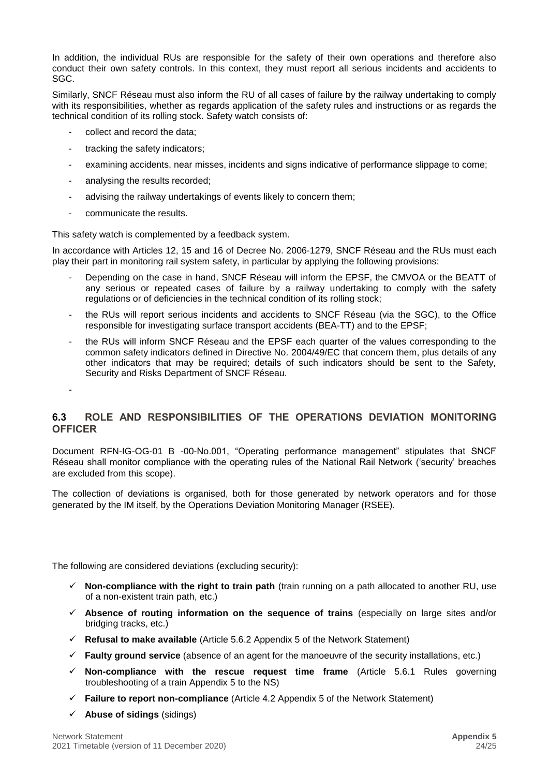In addition, the individual RUs are responsible for the safety of their own operations and therefore also conduct their own safety controls. In this context, they must report all serious incidents and accidents to SGC.

Similarly, SNCF Réseau must also inform the RU of all cases of failure by the railway undertaking to comply with its responsibilities, whether as regards application of the safety rules and instructions or as regards the technical condition of its rolling stock. Safety watch consists of:

- collect and record the data:
- tracking the safety indicators;
- examining accidents, near misses, incidents and signs indicative of performance slippage to come;
- analysing the results recorded;
- advising the railway undertakings of events likely to concern them;
- communicate the results.

-

This safety watch is complemented by a feedback system.

In accordance with Articles 12, 15 and 16 of Decree No. 2006-1279, SNCF Réseau and the RUs must each play their part in monitoring rail system safety, in particular by applying the following provisions:

- Depending on the case in hand, SNCF Réseau will inform the EPSF, the CMVOA or the BEATT of any serious or repeated cases of failure by a railway undertaking to comply with the safety regulations or of deficiencies in the technical condition of its rolling stock;
- the RUs will report serious incidents and accidents to SNCF Réseau (via the SGC), to the Office responsible for investigating surface transport accidents (BEA-TT) and to the EPSF;
- the RUs will inform SNCF Réseau and the EPSF each quarter of the values corresponding to the common safety indicators defined in Directive No. 2004/49/EC that concern them, plus details of any other indicators that may be required; details of such indicators should be sent to the Safety, Security and Risks Department of SNCF Réseau.

#### <span id="page-23-0"></span>**6.3 ROLE AND RESPONSIBILITIES OF THE OPERATIONS DEVIATION MONITORING OFFICER**

Document RFN-IG-OG-01 B -00-No.001, "Operating performance management" stipulates that SNCF Réseau shall monitor compliance with the operating rules of the National Rail Network ('security' breaches are excluded from this scope).

The collection of deviations is organised, both for those generated by network operators and for those generated by the IM itself, by the Operations Deviation Monitoring Manager (RSEE).

The following are considered deviations (excluding security):

- ✓ **Non-compliance with the right to train path** (train running on a path allocated to another RU, use of a non-existent train path, etc.)
- ✓ **Absence of routing information on the sequence of trains** (especially on large sites and/or bridging tracks, etc.)
- ✓ **Refusal to make available** (Article 5.6.2 Appendix 5 of the Network Statement)
- ✓ **Faulty ground service** (absence of an agent for the manoeuvre of the security installations, etc.)
- ✓ **Non-compliance with the rescue request time frame** (Article 5.6.1 Rules governing troubleshooting of a train Appendix 5 to the NS)
- ✓ **Failure to report non-compliance** (Article 4.2 Appendix 5 of the Network Statement)
- ✓ **Abuse of sidings** (sidings)